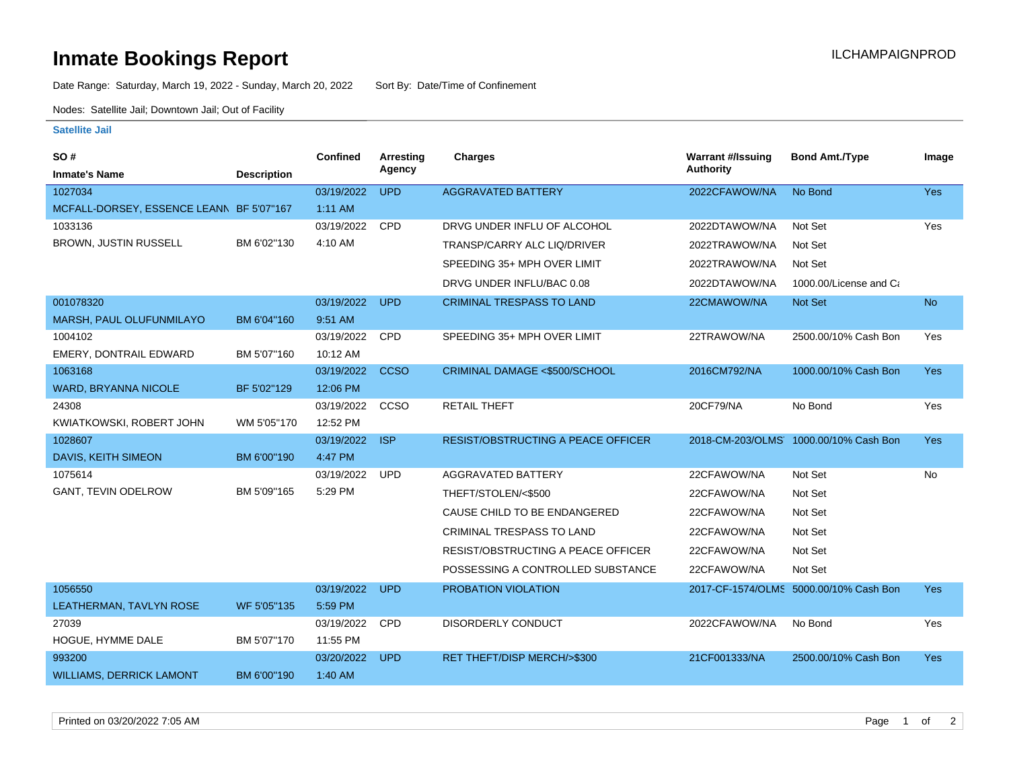## **Inmate Bookings Report International Contract Contract Contract Contract Contract Contract Contract Contract Contract Contract Contract Contract Contract Contract Contract Contract Contract Contract Contract Contract Co**

Date Range: Saturday, March 19, 2022 - Sunday, March 20, 2022 Sort By: Date/Time of Confinement

Nodes: Satellite Jail; Downtown Jail; Out of Facility

### **Satellite Jail**

| <b>SO#</b><br><b>Inmate's Name</b>       | <b>Description</b> | <b>Confined</b> | <b>Arresting</b><br>Agency | <b>Charges</b>                            | <b>Warrant #/Issuing</b><br><b>Authority</b> | <b>Bond Amt./Type</b>                  | Image      |
|------------------------------------------|--------------------|-----------------|----------------------------|-------------------------------------------|----------------------------------------------|----------------------------------------|------------|
| 1027034                                  |                    | 03/19/2022      | <b>UPD</b>                 | <b>AGGRAVATED BATTERY</b>                 | 2022CFAWOW/NA                                | No Bond                                | <b>Yes</b> |
| MCFALL-DORSEY, ESSENCE LEANN BF 5'07"167 |                    | $1:11$ AM       |                            |                                           |                                              |                                        |            |
| 1033136                                  |                    | 03/19/2022      | <b>CPD</b>                 | DRVG UNDER INFLU OF ALCOHOL               | 2022DTAWOW/NA                                | Not Set                                | Yes        |
| <b>BROWN, JUSTIN RUSSELL</b>             | BM 6'02"130        | 4:10 AM         |                            | TRANSP/CARRY ALC LIQ/DRIVER               | 2022TRAWOW/NA                                | Not Set                                |            |
|                                          |                    |                 |                            | SPEEDING 35+ MPH OVER LIMIT               | 2022TRAWOW/NA                                | Not Set                                |            |
|                                          |                    |                 |                            | DRVG UNDER INFLU/BAC 0.08                 | 2022DTAWOW/NA                                | 1000.00/License and Ca                 |            |
| 001078320                                |                    | 03/19/2022      | <b>UPD</b>                 | <b>CRIMINAL TRESPASS TO LAND</b>          | 22CMAWOW/NA                                  | Not Set                                | <b>No</b>  |
| MARSH, PAUL OLUFUNMILAYO                 | BM 6'04"160        | 9:51 AM         |                            |                                           |                                              |                                        |            |
| 1004102                                  |                    | 03/19/2022      | <b>CPD</b>                 | SPEEDING 35+ MPH OVER LIMIT               | 22TRAWOW/NA                                  | 2500.00/10% Cash Bon                   | Yes        |
| <b>EMERY, DONTRAIL EDWARD</b>            | BM 5'07"160        | 10:12 AM        |                            |                                           |                                              |                                        |            |
| 1063168                                  |                    | 03/19/2022      | <b>CCSO</b>                | CRIMINAL DAMAGE <\$500/SCHOOL             | 2016CM792/NA                                 | 1000.00/10% Cash Bon                   | <b>Yes</b> |
| WARD, BRYANNA NICOLE                     | BF 5'02"129        | 12:06 PM        |                            |                                           |                                              |                                        |            |
| 24308                                    |                    | 03/19/2022      | CCSO                       | <b>RETAIL THEFT</b>                       | 20CF79/NA                                    | No Bond                                | Yes        |
| KWIATKOWSKI, ROBERT JOHN                 | WM 5'05"170        | 12:52 PM        |                            |                                           |                                              |                                        |            |
| 1028607                                  |                    | 03/19/2022      | <b>ISP</b>                 | <b>RESIST/OBSTRUCTING A PEACE OFFICER</b> |                                              | 2018-CM-203/OLMS 1000.00/10% Cash Bon  | <b>Yes</b> |
| DAVIS, KEITH SIMEON                      | BM 6'00"190        | 4:47 PM         |                            |                                           |                                              |                                        |            |
| 1075614                                  |                    | 03/19/2022      | <b>UPD</b>                 | AGGRAVATED BATTERY                        | 22CFAWOW/NA                                  | Not Set                                | <b>No</b>  |
| GANT, TEVIN ODELROW                      | BM 5'09"165        | 5:29 PM         |                            | THEFT/STOLEN/<\$500                       | 22CFAWOW/NA                                  | Not Set                                |            |
|                                          |                    |                 |                            | CAUSE CHILD TO BE ENDANGERED              | 22CFAWOW/NA                                  | Not Set                                |            |
|                                          |                    |                 |                            | CRIMINAL TRESPASS TO LAND                 | 22CFAWOW/NA                                  | Not Set                                |            |
|                                          |                    |                 |                            | RESIST/OBSTRUCTING A PEACE OFFICER        | 22CFAWOW/NA                                  | Not Set                                |            |
|                                          |                    |                 |                            | POSSESSING A CONTROLLED SUBSTANCE         | 22CFAWOW/NA                                  | Not Set                                |            |
| 1056550                                  |                    | 03/19/2022      | <b>UPD</b>                 | PROBATION VIOLATION                       |                                              | 2017-CF-1574/OLMS 5000.00/10% Cash Bon | <b>Yes</b> |
| LEATHERMAN, TAVLYN ROSE                  | WF 5'05"135        | 5:59 PM         |                            |                                           |                                              |                                        |            |
| 27039                                    |                    | 03/19/2022      | <b>CPD</b>                 | <b>DISORDERLY CONDUCT</b>                 | 2022CFAWOW/NA                                | No Bond                                | Yes        |
| HOGUE, HYMME DALE                        | BM 5'07"170        | 11:55 PM        |                            |                                           |                                              |                                        |            |
| 993200                                   |                    | 03/20/2022      | <b>UPD</b>                 | RET THEFT/DISP MERCH/>\$300               | 21CF001333/NA                                | 2500.00/10% Cash Bon                   | <b>Yes</b> |
| <b>WILLIAMS, DERRICK LAMONT</b>          | BM 6'00"190        | $1:40$ AM       |                            |                                           |                                              |                                        |            |